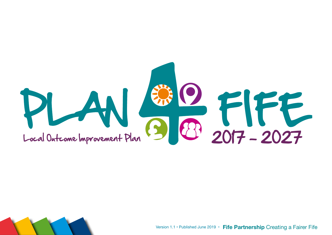



Version 1.1 • Published June 2019 • **Fife Partnership** Creating a Fairer Fife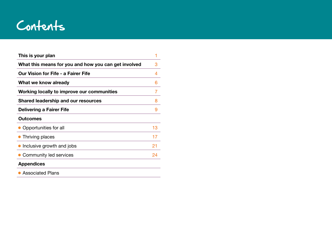

| This is your plan                                    | 1  |
|------------------------------------------------------|----|
| What this means for you and how you can get involved | 3  |
| <b>Our Vision for Fife - a Fairer Fife</b>           | 4  |
| What we know already                                 | 6  |
| Working locally to improve our communities           | 7  |
| Shared leadership and our resources                  | 8  |
| Delivering a Fairer Fife                             | 9  |
| <b>Outcomes</b>                                      |    |
| • Opportunities for all                              | 13 |
| • Thriving places                                    | 17 |
| • Inclusive growth and jobs                          | 21 |
| • Community led services                             | 24 |
| <b>Appendices</b>                                    |    |
| • Associated Plans                                   |    |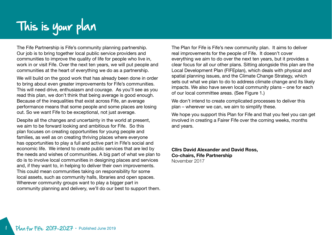# This is your plan

The Fife Partnership is Fife's community planning partnership. Our job is to bring together local public service providers and communities to improve the quality of life for people who live in, work in or visit Fife. Over the next ten years, we will put people and communities at the heart of everything we do as a partnership.

We will build on the good work that has already been done in order to bring about even greater improvements for Fife's communities. This will need drive, enthusiasm and courage. As you'll see as you read this plan, we don't think that being average is good enough. Because of the inequalities that exist across Fife, an average performance means that some people and some places are losing out. So we want Fife to be exceptional, not just average.

Despite all the changes and uncertainty in the world at present, we aim to be forward looking and ambitious for Fife. So this plan focuses on creating opportunities for young people and families, as well as on creating thriving places where everyone has opportunities to play a full and active part in Fife's social and economic life. We intend to create public services that are led by the needs and wishes of communities. A big part of what we plan to do is to involve local communities in designing places and services and, if they want to, in helping to deliver their own improvements. This could mean communities taking on responsibility for some local assets, such as community halls, libraries and open spaces. Wherever community groups want to play a bigger part in community planning and delivery, we'll do our best to support them. The Plan for Fife is Fife's new community plan. It aims to deliver real improvements for the people of Fife. It doesn't cover everything we aim to do over the next ten years, but it provides a clear focus for all our other plans. Sitting alongside this plan are the Local Development Plan (FIFEplan), which deals with physical and spatial planning issues, and the Climate Change Strategy, which sets out what we plan to do to address climate change and its likely impacts. We also have seven local community plans – one for each of our local committee areas. (See Figure 1.)

We don't intend to create complicated processes to deliver this plan – wherever we can, we aim to simplify these.

We hope you support this Plan for Fife and that you feel you can get involved in creating a Fairer Fife over the coming weeks, months and years.

**Cllrs David Alexander and David Ross, Co-chairs, Fife Partnership** November 2017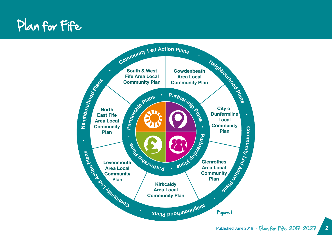### Plan for Fife

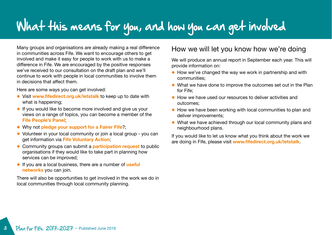### What this means for you, and how you can get involved

Many groups and organisations are already making a real difference in communities across Fife. We want to encourage others to get involved and make it easy for people to work with us to make a difference in Fife. We are encouraged by the positive responses we've received to our consultation on the draft plan and we'll continue to work with people in local communities to involve them in decisions that affect them.

Here are some ways you can get involved:

- **.** Visit www.fifedirect.org.uk/letstalk to keep up to date with what is happening;
- **.** If you would like to become more involved and give us your views on a range of topics, you can become a member of the **[Fife People's Panel](http://www.fifedirect.org.uk/peoplespanel)**;
- **.** Why not **[pledge your support for a Fairer Fife](http://fairer.fife.scot)**?;
- Volunteer in your local community or join a local group you can get information via **[Fife Voluntary Action](http://www.fifevoluntaryaction.org.uk)**;
- **Community groups can submit a [participation request](http://www.fifedirect.org.uk/peoplepower) to public** organisations if they would like to take part in planning how services can be improved;
- **If you are a local business, there are a number of useful [networks](http://www.fifedirect.org.uk/businessvoice)** you can join.

There will also be opportunities to get involved in the work we do in local communities through local community planning.

### How we will let you know how we're doing

We will produce an annual report in September each year. This will provide information on:

- $\bullet$  How we've changed the way we work in partnership and with communities;
- What we have done to improve the outcomes set out in the Plan for Fife;
- $\bullet$  How we have used our resources to deliver activities and outcomes;
- $\bullet$  How we have been working with local communities to plan and deliver improvements;
- What we have achieved through our local community plans and neighbourhood plans.

If you would like to let us know what you think about the work we are doing in Fife, please visit **[www.fifedirect.org.uk/letstalk](http://www.fifedirect.org.uk/letstalk)**.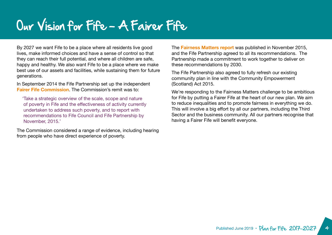### Our Vision for Fife - A Fairer Fife

By 2027 we want Fife to be a place where all residents live good lives, make informed choices and have a sense of control so that they can reach their full potential, and where all children are safe, happy and healthy. We also want Fife to be a place where we make best use of our assets and facilities, while sustaining them for future generations.

In September 2014 the Fife Partnership set up the independent **[Fairer Fife Commission](http://fairer.fife.scot/fairer-fife-commission/)**. The Commission's remit was to:

'Take a strategic overview of the scale, scope and nature of poverty in Fife and the effectiveness of activity currently undertaken to address such poverty, and to report with recommendations to Fife Council and Fife Partnership by November, 2015.'

The Commission considered a range of evidence, including hearing from people who have direct experience of poverty.

The **[Fairness Matters report](http://wordpress.fifedirect.org.uk/fairerfife/wp-content/uploads/sites/24/2016/11/Fairness_Matters_Report_2015.pdf)** was published in November 2015, and the Fife Partnership agreed to all its recommendations. The Partnership made a commitment to work together to deliver on these recommendations by 2030.

The Fife Partnership also agreed to fully refresh our existing community plan in line with the Community Empowerment (Scotland) Act 2015.

We're responding to the Fairness Matters challenge to be ambitious for Fife by putting a Fairer Fife at the heart of our new plan. We aim to reduce inequalities and to promote fairness in everything we do. This will involve a big effort by all our partners, including the Third Sector and the business community. All our partners recognise that having a Fairer Fife will benefit everyone.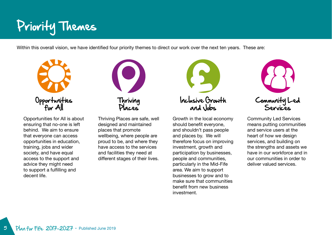# Priority Themes

Within this overall vision, we have identified four priority themes to direct our work over the next ten years. These are:



Opportunities for All is about ensuring that no-one is left behind. We aim to ensure that everyone can access opportunities in education, training, jobs and wider society, and have equal access to the support and advice they might need to support a fulfilling and decent life.



Thriving Places are safe, well designed and maintained places that promote wellbeing, where people are proud to be, and where they have access to the services and facilities they need at different stages of their lives.



Growth in the local economy should benefit everyone, and shouldn't pass people and places by. We will therefore focus on improving investment, growth and participation by businesses, people and communities, particularly in the Mid-Fife area. We aim to support businesses to grow and to make sure that communities benefit from new business investment.



Community Led Services means putting communities and service users at the heart of how we design services, and building on the strengths and assets we have in our workforce and in our communities in order to deliver valued services.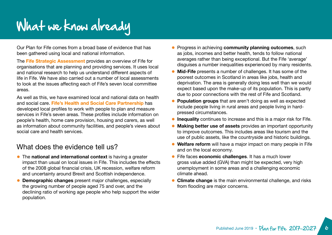# What we know already

Our Plan for Fife comes from a broad base of evidence that has been gathered using local and national information.

The **[Fife Strategic Assessment](http://publications.fifedirect.org.uk/c64_StrategicAssessment2017final.pdf)** provides an overview of Fife for organisations that are planning and providing services. It uses local and national research to help us understand different aspects of life in Fife. We have also carried out a number of local assessments to look at the issues affecting each of Fife's seven local committee areas.

As well as this, we have examined local and national data on health and social care. **[Fife's Health and Social Care Partnership](http://www.fifehealthandsocialcare.org)** has developed local profiles to work with people to plan and measure services in Fife's seven areas. These profiles include information on people's health, home care provision, housing and carers, as well as information about community facilities, and people's views about social care and health services.

### What does the evidence tell us?

- **The national and international context** is having a greater impact than usual on local issues in Fife. This includes the effects of the 2008 global financial crisis, UK recession, welfare reform and uncertainty around Brexit and Scottish independence.
- **Demographic changes** present major challenges, especially the growing number of people aged 75 and over, and the declining ratio of working age people who help support the wider population.
- **Progress in achieving community planning outcomes**, such as jobs, incomes and better health, tends to follow national averages rather than being exceptional. But the Fife 'average' disguises a number inequalities experienced by many residents.
- **Mid-Fife** presents a number of challenges. It has some of the poorest outcomes in Scotland in areas like jobs, health and deprivation. The area is generally doing less well than we would expect based upon the make-up of its population. This is partly due to poor connections with the rest of Fife and Scotland.
- **Population groups** that are aren't doing as well as expected include people living in rural areas and people living in hardpressed circumstances.
- **Inequality** continues to increase and this is a major risk for Fife.
- **Making better use of assets** provides an important opportunity to improve outcomes. This includes areas like tourism and the use of public assets, like the countryside and historic buildings.
- **Welfare reform** will have a major impact on many people in Fife and on the local economy.
- l Fife faces **economic challenges**. It has a much lower gross value added (GVA) than might be expected, very high unemployment in some areas and a challenging economic climate ahead.
- **Climate change** is the main environmental challenge, and risks from flooding are major concerns.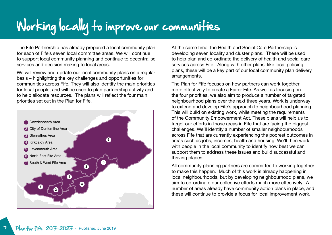# Working locally to improve our communities

The Fife Partnership has already prepared a local community plan for each of Fife's seven local committee areas. We will continue to support local community planning and continue to decentralise services and decision making to local areas.

We will review and update our local community plans on a regular basis – highlighting the key challenges and opportunities for communities across Fife. They will also identify the main priorities for local people, and will be used to plan partnership activity and to help allocate resources. The plans will reflect the four main priorities set out in the Plan for Fife.



At the same time, the Health and Social Care Partnership is developing seven locality and cluster plans. These will be used to help plan and co-ordinate the delivery of health and social care services across Fife. Along with other plans, like local policing plans, these will be a key part of our local community plan delivery arrangements.

The Plan for Fife focuses on how partners can work together more effectively to create a Fairer Fife. As well as focusing on the four priorities, we also aim to produce a number of targeted neighbourhood plans over the next three years. Work is underway to extend and develop Fife's approach to neighbourhood planning. This will build on existing work, while meeting the requirements of the Community Empowerment Act. These plans will help us to target our efforts in those areas in Fife that are facing the biggest challenges. We'll identify a number of smaller neighbourhoods across Fife that are currently experiencing the poorest outcomes in areas such as jobs, incomes, health and housing. We'll then work with people in the local community to identify how best we can support them to address these issues and build successful and thriving places.

All community planning partners are committed to working together to make this happen. Much of this work is already happening in local neighbourhoods, but by developing neighbourhood plans, we aim to co-ordinate our collective efforts much more effectively. A number of areas already have community action plans in place, and these will continue to provide a focus for local improvement work.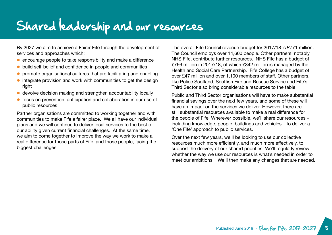### Shared leadership and our resources

By 2027 we aim to achieve a Fairer Fife through the development of services and approaches which:

- **e** encourage people to take responsibility and make a difference
- build self-belief and confidence in people and communities
- l promote organisational cultures that are facilitating and enabling
- $\bullet$  integrate provision and work with communities to get the design right
- **.** devolve decision making and strengthen accountability locally
- focus on prevention, anticipation and collaboration in our use of public resources

Partner organisations are committed to working together and with communities to make Fife a fairer place. We all have our individual plans and we will continue to deliver local services to the best of our ability given current financial challenges. At the same time, we aim to come together to improve the way we work to make a real difference for those parts of Fife, and those people, facing the biggest challenges.

The overall Fife Council revenue budget for 2017/18 is £771 million. The Council employs over 14,600 people. Other partners, notably NHS Fife, contribute further resources. NHS Fife has a budget of £766 million in 2017/18, of which £342 million is managed by the Health and Social Care Partnership. Fife College has a budget of over £47 million and over 1,100 members of staff. Other partners, like Police Scotland, Scottish Fire and Rescue Service and Fife's Third Sector also bring considerable resources to the table.

Public and Third Sector organisations will have to make substantial financial savings over the next few years, and some of these will have an impact on the services we deliver. However, there are still substantial resources available to make a real difference for the people of Fife. Wherever possible, we'll share our resources – including knowledge, people, buildings and vehicles – to deliver a 'One Fife' approach to public services.

Over the next few years, we'll be looking to use our collective resources much more efficiently, and much more effectively, to support the delivery of our shared priorities. We'll regularly review whether the way we use our resources is what's needed in order to meet our ambitions. We'll then make any changes that are needed.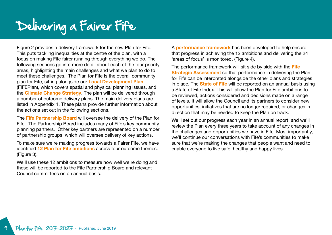## Delivering a Fairer Fife

Figure 2 provides a delivery framework for the new Plan for Fife. This puts tackling inequalities at the centre of the plan, with a focus on making Fife fairer running through everything we do. The following sections go into more detail about each of the four priority areas, highlighting the main challenges and what we plan to do to meet these challenges. The Plan for Fife is the overall community plan for Fife, sitting alongside our **[Local Development Plan](https://www.fifedirect.org.uk/topics/index.cfm?fuseaction=page.display&p2sid=D61AC1F5-DD4B-CE6A-51E3BDDED79D5ABC&themeid=2B482E89-1CC4-E06A-52FBA69F838F4D24)** (FIFEPlan), which covers spatial and physical planning issues, and the **[Climate Change Strategy](http://publications.fifedirect.org.uk/c64_FEP-Climate-ChangeStrategy-2014.pdf)**. The plan will be delivered through a number of outcome delivery plans. The main delivery plans are listed in Appendix 1. These plans provide further information about the actions set out in the following sections.

The **[Fife Partnership Board](https://www.fifedirect.org.uk/news/index.cfm?fuseaction=committee.detail&servid=854A4CCF-CE24-3C49-325752C9298CE280)** will oversee the delivery of the Plan for Fife. The Partnership Board includes many of Fife's key community planning partners. Other key partners are represented on a number of partnership groups, which will oversee delivery of key actions.

To make sure we're making progress towards a Fairer Fife, we have identified **[12 Plan for Fife ambitions](#page-13-0)** across four outcome themes. (Figure 3).

We'll use these 12 ambitions to measure how well we're doing and these will be reported to the Fife Partnership Board and relevant Council committees on an annual basis.

A **[performance framework](#page-14-0)** has been developed to help ensure that progress in achieving the 12 ambitions and delivering the 24 'areas of focus' is monitored. (Figure 4).

The performance framework will sit side by side with the **[Fife](http://publications.fifedirect.org.uk/c64_StrategicAssessment2017final.pdf)  [Strategic Assessment](http://publications.fifedirect.org.uk/c64_StrategicAssessment2017final.pdf)** so that performance in delivering the Plan for Fife can be interpreted alongside the other plans and strategies in place. The **[State of Fife](http://www.fifedirect.org.uk/fifeperforms)** will be reported on an annual basis using a State of Fife Index. This will allow the Plan for Fife ambitions to be reviewed, actions considered and decisions made on a range of levels. It will allow the Council and its partners to consider new opportunities, initiatives that are no longer required, or changes in direction that may be needed to keep the Plan on track.

We'll set out our progress each year in an annual report, and we'll review the Plan every three years to take account of any changes in the challenges and opportunities we have in Fife. Most importantly, we'll continue our conversations with Fife's communities to make sure that we're making the changes that people want and need to enable everyone to live safe, healthy and happy lives.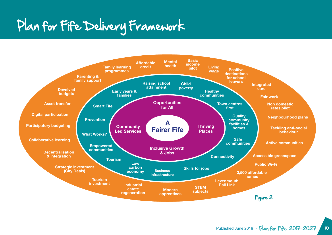# Plan for Fife Delivery Framework

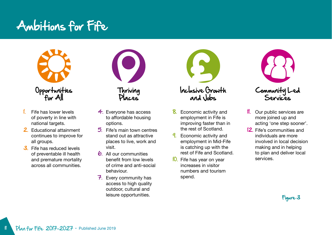### <span id="page-13-0"></span>Ambitions for Fife



- Fife has lower levels of poverty in line with national targets.
- 2. Educational attainment continues to improve for all groups.
- 3. Fife has reduced levels of preventable ill health and premature mortality across all communities.



- 4. Everyone has access to affordable housing options.
- 5. Fife's main town centres stand out as attractive places to live, work and visit.
- 6. All our communities benefit from low levels of crime and anti-social behaviour.
- 7. Every community has access to high quality outdoor, cultural and leisure opportunities.



- 8. Economic activity and employment in Fife is improving faster than in the rest of Scotland.
- **9.** Economic activity and employment in Mid-Fife is catching up with the rest of Fife and Scotland.
- **10.** Fife has year on year increases in visitor numbers and tourism spend.



- Our public services are more joined up and acting 'one step sooner'.
- 12. Fife's communities and individuals are more involved in local decision making and in helping to plan and deliver local services.

Figure 3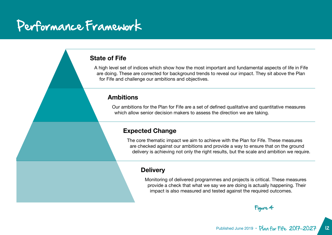### <span id="page-14-0"></span>Performance Framework

### **State of Fife**

A high level set of indices which show how the most important and fundamental aspects of life in Fife are doing. These are corrected for background trends to reveal our impact. They sit above the Plan for Fife and challenge our ambitions and objectives.

### **Ambitions**

Our ambitions for the Plan for Fife are a set of defined qualitative and quantitative measures which allow senior decision makers to assess the direction we are taking.

### **Expected Change**

The core thematic impact we aim to achieve with the Plan for Fife. These measures are checked against our ambitions and provide a way to ensure that on the ground delivery is achieving not only the right results, but the scale and ambition we require.

#### **Delivery**

Monitoring of delivered programmes and projects is critical. These measures provide a check that what we say we are doing is actually happening. Their impact is also measured and tested against the required outcomes.

Figure 4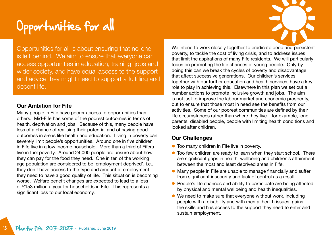

Opportunities for all is about ensuring that no-one is left behind. We aim to ensure that everyone can access opportunities in education, training, jobs and wider society, and have equal access to the support and advice they might need to support a fulfilling and decent life.

### **Our Ambition for Fife**

Many people in Fife have poorer access to opportunities than others. Mid-Fife has some of the poorest outcomes in terms of health, deprivation and jobs. Because of this, many people have less of a chance of realising their potential and of having good outcomes in areas like health and education. Living in poverty can severely limit people's opportunities. Around one in five children in Fife live in a low income household. More than a third of Fifers live in fuel poverty. Around 24,000 people are unsure about how they can pay for the food they need. One in ten of the working age population are considered to be 'employment deprived', i.e., they don't have access to the type and amount of employment they need to have a good quality of life. This situation is becoming worse. Welfare benefit changes are expected to lead to a loss of £153 million a year for households in Fife. This represents a significant loss to our local economy.

We intend to work closely together to eradicate deep and persistent poverty, to tackle the cost of living crisis, and to address issues that limit the aspirations of many Fife residents. We will particularly focus on promoting the life chances of young people. Only by doing this can we break the cycles of poverty and disadvantage that affect successive generations. Our children's services, together with our further education and health services, have a key role to play in achieving this. Elsewhere in this plan we set out a number actions to promote inclusive growth and jobs. The aim is not just to improve the labour market and economic prosperity, but to ensure that those most in need see the benefits from our activities. Some of our poorest communities are defined by their life circumstances rather than where they live – for example, lone parents, disabled people, people with limiting health conditions and looked after children.

### **Our Challenges**

- **Too many children in Fife live in poverty.**
- **•** Too few children are ready to learn when they start school. There are significant gaps in health, wellbeing and children's attainment between the most and least deprived areas in Fife.
- **Many people in Fife are unable to manage financially and suffer** from significant insecurity and lack of control as a result.
- People's life chances and ability to participate are being affected by physical and mental wellbeing and health inequalities.
- $\bullet$  We need to make sure that everyone without work, including people with a disability and with mental health issues, gains the skills and has access to the support they need to enter and sustain employment.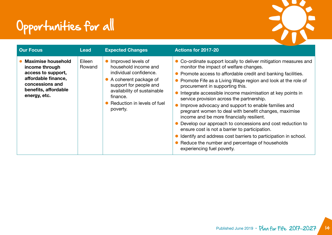

| <b>Our Focus</b>                                                                                                                                    | <b>Lead</b>      | <b>Expected Changes</b>                                                                                                                                                                                       | <b>Actions for 2017-20</b>                                                                                                                                                                                                                                                                                                                                                                                                                                                                                                                                                                                                                                                                                                                                                                                                 |
|-----------------------------------------------------------------------------------------------------------------------------------------------------|------------------|---------------------------------------------------------------------------------------------------------------------------------------------------------------------------------------------------------------|----------------------------------------------------------------------------------------------------------------------------------------------------------------------------------------------------------------------------------------------------------------------------------------------------------------------------------------------------------------------------------------------------------------------------------------------------------------------------------------------------------------------------------------------------------------------------------------------------------------------------------------------------------------------------------------------------------------------------------------------------------------------------------------------------------------------------|
| <b>Maximise household</b><br>income through<br>access to support,<br>affordable finance,<br>concessions and<br>benefits, affordable<br>energy, etc. | Eileen<br>Rowand | Improved levels of<br>household income and<br>individual confidence.<br>A coherent package of<br>support for people and<br>availability of sustainable<br>finance.<br>Reduction in levels of fuel<br>poverty. | • Co-ordinate support locally to deliver mitigation measures and<br>monitor the impact of welfare changes.<br>• Promote access to affordable credit and banking facilities.<br>• Promote Fife as a Living Wage region and look at the role of<br>procurement in supporting this.<br>Integrate accessible income maximisation at key points in<br>service provision across the partnership.<br>Improve advocacy and support to enable families and<br>pregnant women to deal with benefit changes, maximise<br>income and be more financially resilient.<br>Develop our approach to concessions and cost reduction to<br>ensure cost is not a barrier to participation.<br>Identify and address cost barriers to participation in school.<br>• Reduce the number and percentage of households<br>experiencing fuel poverty. |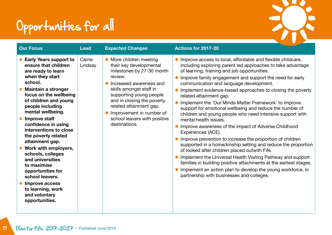

| <b>Our Focus</b>                                                                                                                                                                                                                                                                                                                                                                                                                                                                                                                                         | <b>Lead</b>       | <b>Expected Changes</b>                                                                                                                                                                                                                                                                                         | Actions for 2017-20                                                                                                                                                                                                                                                                                                                                                                                                                                                                                                                                                                                                                                                                                                                                                                                                                                                                                                                                                                                                                                                                                        |
|----------------------------------------------------------------------------------------------------------------------------------------------------------------------------------------------------------------------------------------------------------------------------------------------------------------------------------------------------------------------------------------------------------------------------------------------------------------------------------------------------------------------------------------------------------|-------------------|-----------------------------------------------------------------------------------------------------------------------------------------------------------------------------------------------------------------------------------------------------------------------------------------------------------------|------------------------------------------------------------------------------------------------------------------------------------------------------------------------------------------------------------------------------------------------------------------------------------------------------------------------------------------------------------------------------------------------------------------------------------------------------------------------------------------------------------------------------------------------------------------------------------------------------------------------------------------------------------------------------------------------------------------------------------------------------------------------------------------------------------------------------------------------------------------------------------------------------------------------------------------------------------------------------------------------------------------------------------------------------------------------------------------------------------|
| <b>Early Years support to</b><br>ensure that children<br>are ready to learn<br>when they start<br>school.<br><b>Maintain a stronger</b><br>focus on the wellbeing<br>of children and young<br>people including<br>mental wellbeing.<br>Improve staff<br>confidence in using<br>interventions to close<br>the poverty related<br>attainment gap.<br>Work with employers,<br>schools, colleges<br>and universities<br>to maximise<br>opportunities for<br>school leavers.<br><b>Improve access</b><br>to learning, work<br>and voluntary<br>opportunities. | Carrie<br>Lindsay | More children meeting<br>their key developmental<br>milestones by 27-30 month<br>review.<br>Increased awareness and<br>skills amongst staff in<br>supporting young people<br>and in closing the poverty<br>related attainment gap.<br>Improvement in number of<br>school leavers with positive<br>destinations. | • Improve access to local, affordable and flexible childcare,<br>including exploring parent led approaches to take advantage<br>of learning, training and job opportunities.<br>• Improve family engagement and support the need for early<br>communication and language development.<br>Implement evidence-based approaches to closing the poverty<br>related attainment gap.<br>Implement the 'Our Minds Matter Framework' to improve<br>support for emotional wellbeing and reduce the number of<br>children and young people who need intensive support with<br>mental health issues.<br>Improve awareness of the impact of Adverse Childhood<br>Experiences (ACE).<br>• Improve prevention to increase the proportion of children<br>supported in a home/kinship setting and reduce the proportion<br>of looked after children placed outwith Fife.<br>• Implement the Universal Health Visiting Pathway and support<br>families in building positive attachments at the earliest stages.<br>Implement an action plan to develop the young workforce, in<br>partnership with businesses and colleges. |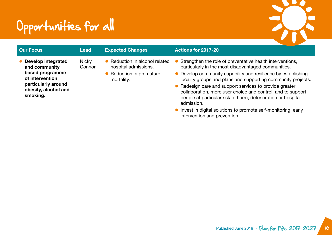

| <b>Our Focus</b>                                                                                                                     | Lead                   | <b>Expected Changes</b>                                                                      | Actions for 2017-20                                                                                                                                                                                                                                                                                                                                                                                                                                                                                                                                        |
|--------------------------------------------------------------------------------------------------------------------------------------|------------------------|----------------------------------------------------------------------------------------------|------------------------------------------------------------------------------------------------------------------------------------------------------------------------------------------------------------------------------------------------------------------------------------------------------------------------------------------------------------------------------------------------------------------------------------------------------------------------------------------------------------------------------------------------------------|
| Develop integrated<br>and community<br>based programme<br>of intervention<br>particularly around<br>obesity, alcohol and<br>smoking. | <b>Nicky</b><br>Connor | Reduction in alcohol related<br>hospital admissions.<br>Reduction in premature<br>mortality. | Strengthen the role of preventative health interventions,<br>particularly in the most disadvantaged communities.<br>Develop community capability and resilience by establishing<br>locality groups and plans and supporting community projects.<br>• Redesign care and support services to provide greater<br>collaboration, more user choice and control, and to support<br>people at particular risk of harm, deterioration or hospital<br>admission.<br>• Invest in digital solutions to promote self-monitoring, early<br>intervention and prevention. |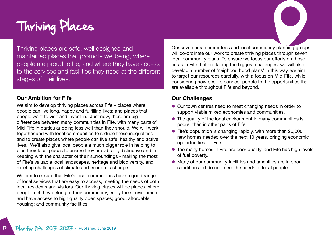# Thriving Places

Thriving places are safe, well designed and maintained places that promote wellbeing, where people are proud to be, and where they have access to the services and facilities they need at the different stages of their lives.

#### **Our Ambition for Fife**

We aim to develop thriving places across Fife – places where people can live long, happy and fulfilling lives; and places that people want to visit and invest in. Just now, there are big differences between many communities in Fife, with many parts of Mid-Fife in particular doing less well than they should. We will work together and with local communities to reduce these inequalities and to create places where people can live safe, healthy and active lives. We'll also give local people a much bigger role in helping to plan their local places to ensure they are vibrant, distinctive and in keeping with the character of their surroundings - making the most of Fife's valuable local landscapes, heritage and biodiversity, and meeting challenges of climate and economic change.

We aim to ensure that Fife's local communities have a good range of local services that are easy to access, meeting the needs of both local residents and visitors. Our thriving places will be places where people feel they belong to their community, enjoy their environment and have access to high quality open spaces; good, affordable housing; and community facilities.

Our seven area committees and local community planning groups will co-ordinate our work to create thriving places through seven local community plans. To ensure we focus our efforts on those areas in Fife that are facing the biggest challenges, we will also develop a number of 'neighbourhood plans' In this way, we aim to target our resources carefully, with a focus on Mid-Fife, while considering how best to connect people to the opportunities that are available throughout Fife and beyond.

#### **Our Challenges**

- Our town centres need to meet changing needs in order to support viable mixed economies and communities.
- The quality of the local environment in many communities is poorer than in other parts of Fife.
- Fife's population is changing rapidly, with more than 20,000 new homes needed over the next 10 years, bringing economic opportunities for Fife.
- Too many homes in Fife are poor quality, and Fife has high levels of fuel poverty.
- l Many of our community facilities and amenities are in poor condition and do not meet the needs of local people.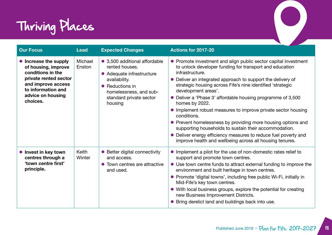

| <b>Our Focus</b>                                                                                                                                                        | <b>Lead</b>       | <b>Expected Changes</b>                                                                                                                                                          | <b>Actions for 2017-20</b>                                                                                                                                                                                                                                                                                                                                                                                                                                                                                                                                                                                                                                                                                                 |
|-------------------------------------------------------------------------------------------------------------------------------------------------------------------------|-------------------|----------------------------------------------------------------------------------------------------------------------------------------------------------------------------------|----------------------------------------------------------------------------------------------------------------------------------------------------------------------------------------------------------------------------------------------------------------------------------------------------------------------------------------------------------------------------------------------------------------------------------------------------------------------------------------------------------------------------------------------------------------------------------------------------------------------------------------------------------------------------------------------------------------------------|
| • Increase the supply<br>of housing, improve<br>conditions in the<br>private rented sector<br>and improve access<br>to information and<br>advice on housing<br>choices. | Michael<br>Enston | • 3,500 additional affordable<br>rented houses.<br>• Adequate infrastructure<br>availability.<br>• Reductions in<br>homelessness, and sub-<br>standard private sector<br>housing | • Promote investment and align public sector capital investment<br>to unlock developer funding for transport and education<br>infrastructure.<br>• Deliver an integrated approach to support the delivery of<br>strategic housing across Fife's nine identified 'strategic<br>development areas'.<br>• Deliver a 'Phase 3' affordable housing programme of 3,500<br>homes by 2022.<br>• Implement robust measures to improve private sector housing<br>conditions.<br>• Prevent homelessness by providing more housing options and<br>supporting households to sustain their accommodation.<br>• Deliver energy efficiency measures to reduce fuel poverty and<br>improve health and wellbeing across all housing tenures. |
| lnvest in key town<br>centres through a<br>'town centre first'<br>principle.                                                                                            | Keith<br>Winter   | • Better digital connectivity<br>and access.<br>• Town centres are attractive<br>and used.                                                                                       | • Implement a pilot for the use of non-domestic rates relief to<br>support and promote town centres.<br>• Use town centre funds to attract external funding to improve the<br>environment and built heritage in town centres.<br>• Promote 'digital towns', including free public Wi-Fi, initially in<br>Mid-Fife's key town centres.<br>• With local business groups, explore the potential for creating<br>new Business Improvement Districts.<br>• Bring derelict land and buildings back into use.                                                                                                                                                                                                                     |

 $\bigcirc$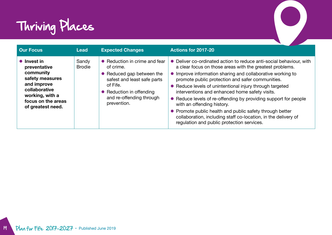

| Thriving Places                                                                                                                                                   |                        |                                                                                                                                                                                           |                                                                                                                                                                                                                                                                                                                                                                                                                                                                                                                                                                                                                                    |  |
|-------------------------------------------------------------------------------------------------------------------------------------------------------------------|------------------------|-------------------------------------------------------------------------------------------------------------------------------------------------------------------------------------------|------------------------------------------------------------------------------------------------------------------------------------------------------------------------------------------------------------------------------------------------------------------------------------------------------------------------------------------------------------------------------------------------------------------------------------------------------------------------------------------------------------------------------------------------------------------------------------------------------------------------------------|--|
| <b>Our Focus</b>                                                                                                                                                  | <b>Lead</b>            | <b>Expected Changes</b>                                                                                                                                                                   | <b>Actions for 2017-20</b>                                                                                                                                                                                                                                                                                                                                                                                                                                                                                                                                                                                                         |  |
| $\bullet$ Invest in<br>preventative<br>community<br>safety measures<br>and improve<br>collaborative<br>working, with a<br>focus on the areas<br>of greatest need. | Sandy<br><b>Brodie</b> | • Reduction in crime and fear<br>of crime.<br>• Reduced gap between the<br>safest and least safe parts<br>of Fife.<br>• Reduction in offending<br>and re-offending through<br>prevention. | Deliver co-ordinated action to reduce anti-social behaviour, with<br>a clear focus on those areas with the greatest problems.<br>Improve information sharing and collaborative working to<br>promote public protection and safer communities.<br>Reduce levels of unintentional injury through targeted<br>interventions and enhanced home safety visits.<br>Reduce levels of re-offending by providing support for people<br>with an offending history.<br>Promote public health and public safety through better<br>collaboration, including staff co-location, in the delivery of<br>regulation and public protection services. |  |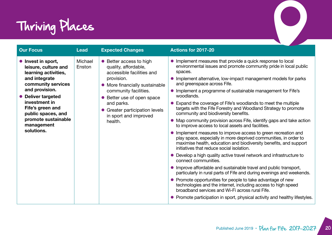

| Thriving Places                                                                                                                                                                                                                                               |                   |                                                                                                                                                                                                                                                                         |                                                                                                                                                                                                                                                                                                                                                                                                                                                                                                                                                                                                                                                                                                                                                                                                                                                                                                                                                                                                                                                                                                                                                                                                                                                                                                                                                                                                              |  |  |  |
|---------------------------------------------------------------------------------------------------------------------------------------------------------------------------------------------------------------------------------------------------------------|-------------------|-------------------------------------------------------------------------------------------------------------------------------------------------------------------------------------------------------------------------------------------------------------------------|--------------------------------------------------------------------------------------------------------------------------------------------------------------------------------------------------------------------------------------------------------------------------------------------------------------------------------------------------------------------------------------------------------------------------------------------------------------------------------------------------------------------------------------------------------------------------------------------------------------------------------------------------------------------------------------------------------------------------------------------------------------------------------------------------------------------------------------------------------------------------------------------------------------------------------------------------------------------------------------------------------------------------------------------------------------------------------------------------------------------------------------------------------------------------------------------------------------------------------------------------------------------------------------------------------------------------------------------------------------------------------------------------------------|--|--|--|
| <b>Our Focus</b>                                                                                                                                                                                                                                              | <b>Lead</b>       | <b>Expected Changes</b>                                                                                                                                                                                                                                                 | Actions for 2017-20                                                                                                                                                                                                                                                                                                                                                                                                                                                                                                                                                                                                                                                                                                                                                                                                                                                                                                                                                                                                                                                                                                                                                                                                                                                                                                                                                                                          |  |  |  |
| lnvest in sport,<br>leisure, culture and<br>learning activities,<br>and integrate<br>community services<br>and provision.<br>• Deliver targeted<br>investment in<br>Fife's green and<br>public spaces, and<br>promote sustainable<br>management<br>solutions. | Michael<br>Enston | • Better access to high<br>quality, affordable,<br>accessible facilities and<br>provision.<br>• More financially sustainable<br>community facilities.<br>• Better use of open space<br>and parks.<br>• Greater participation levels<br>in sport and improved<br>health. | • Implement measures that provide a quick response to local<br>environmental issues and promote community pride in local public<br>spaces.<br>• Implement alternative, low-impact management models for parks<br>and greenspace across Fife.<br>• Implement a programme of sustainable management for Fife's<br>woodlands.<br>• Expand the coverage of Fife's woodlands to meet the multiple<br>targets with the Fife Forestry and Woodland Strategy to promote<br>community and biodiversity benefits.<br>• Map community provision across Fife, identify gaps and take action<br>to improve access to local assets and facilities.<br>• Implement measures to improve access to green recreation and<br>play space, especially in more deprived communities, in order to<br>maximise health, education and biodiversity benefits, and support<br>initiatives that reduce social isolation.<br>• Develop a high quality active travel network and infrastructure to<br>connect communities.<br>• Improve affordable and sustainable travel and public transport,<br>particularly in rural parts of Fife and during evenings and weekends.<br>• Promote opportunities for people to take advantage of new<br>technologies and the internet, including access to high speed<br>broadband services and Wi-Fi across rural Fife.<br>• Promote participation in sport, physical activity and healthy lifestyles. |  |  |  |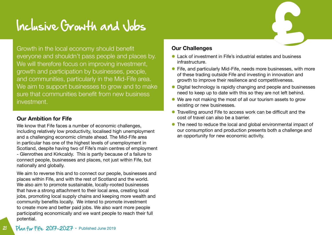## Inclusive Growth and Jobs

Growth in the local economy should benefit everyone and shouldn't pass people and places by. We will therefore focus on improving investment, growth and participation by businesses, people, and communities, particularly in the Mid-Fife area. We aim to support businesses to grow and to make sure that communities benefit from new business investment.

### **Our Ambition for Fife**

We know that Fife faces a number of economic challenges, including relatively low productivity, localised high unemployment and a challenging economic climate ahead. The Mid-Fife area in particular has one of the highest levels of unemployment in Scotland, despite having two of Fife's main centres of employment - Glenrothes and Kirkcaldy. This is partly because of a failure to connect people, businesses and places, not just within Fife, but nationally and globally.

We aim to reverse this and to connect our people, businesses and places within Fife, and with the rest of Scotland and the world. We also aim to promote sustainable, locally-rooted businesses that have a strong attachment to their local area, creating local jobs, promoting local supply chains and keeping more wealth and community benefits locally. We intend to promote investment to create more and better paid jobs. We also want more people participating economically and we want people to reach their full potential.

#### **Our Challenges**

- l Lack of investment in Fife's industrial estates and business infrastructure.
- Fife, and particularly Mid-Fife, needs more businesses, with more of these trading outside Fife and investing in innovation and growth to improve their resilience and competitiveness.
- Digital technology is rapidly changing and people and businesses need to keep up to date with this so they are not left behind.
- We are not making the most of all our tourism assets to grow existing or new businesses.
- **•** Travelling around Fife to access work can be difficult and the cost of travel can also be a barrier.
- The need to reduce the local and global environmental impact of our consumption and production presents both a challenge and an opportunity for new economic activity.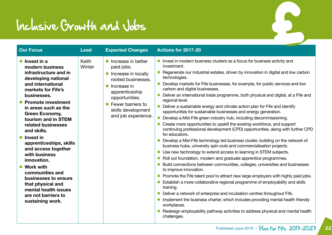## Inclusive Growth and Jobs

| <b>Our Focus</b>                                                                                                                                                                                                                                                                                                                                                                                                                                                                                                                           | <b>Lead</b>     | <b>Expected Changes</b>                                                                                                                                                                                         | Actions for 2017-20                                                                                                                                                                                                                                                                                                                                                                                                                                                                                                                                                                                                                                                                                                                                                                                                                                                                                                                                                                                                                                                                                                                                                                                                                                                                                                                                                                                                                                                                                                                                                                                                                                                                                           |
|--------------------------------------------------------------------------------------------------------------------------------------------------------------------------------------------------------------------------------------------------------------------------------------------------------------------------------------------------------------------------------------------------------------------------------------------------------------------------------------------------------------------------------------------|-----------------|-----------------------------------------------------------------------------------------------------------------------------------------------------------------------------------------------------------------|---------------------------------------------------------------------------------------------------------------------------------------------------------------------------------------------------------------------------------------------------------------------------------------------------------------------------------------------------------------------------------------------------------------------------------------------------------------------------------------------------------------------------------------------------------------------------------------------------------------------------------------------------------------------------------------------------------------------------------------------------------------------------------------------------------------------------------------------------------------------------------------------------------------------------------------------------------------------------------------------------------------------------------------------------------------------------------------------------------------------------------------------------------------------------------------------------------------------------------------------------------------------------------------------------------------------------------------------------------------------------------------------------------------------------------------------------------------------------------------------------------------------------------------------------------------------------------------------------------------------------------------------------------------------------------------------------------------|
| $\bullet$ Invest in a<br>modern business<br>infrastructure and in<br>developing national<br>and international<br>markets for Fife's<br>businesses.<br>● Promote investment<br>in areas such as the<br><b>Green Economy,</b><br>tourism and in STEM<br>related businesses<br>and skills.<br>• Invest in<br>apprenticeships, skills<br>and access together<br>with business<br>innovation.<br>• Work with<br>communities and<br>businesses to ensure<br>that physical and<br>mental health issues<br>are not barriers to<br>sustaining work. | Keith<br>Winter | Increase in better<br>$\bullet$<br>paid jobs.<br>Increase in locally<br>rooted businesses.<br>Increase in<br>apprenticeship<br>opportunities.<br>Fewer barriers to<br>skills development<br>and job experience. | Invest in modern business clusters as a focus for business activity and<br>investment.<br>Regenerate our industrial estates, driven by innovation in digital and low carbon<br>technologies.<br>Develop markets for Fife businesses, for example, for public services and low<br>carbon and digital businesses.<br>Deliver an international trade programme, both physical and digital, at a Fife and<br>regional level.<br>Deliver a sustainable energy and climate action plan for Fife and identify<br>opportunities for sustainable businesses and energy generation.<br>Develop a Mid-Fife green industry hub, including decommissioning.<br>Create more opportunities to upskill the existing workforce, and support<br>continuing professional development (CPD) opportunities, along with further CPD<br>for educators.<br>Develop a Mid-Fife technology led business cluster, building on the network of<br>business hubs, university spin-outs and commercialisation projects.<br>Use new technology to extend access to learning in STEM subjects.<br>Roll out foundation, modern and graduate apprentice programmes.<br>Build connections between communities, colleges, universities and businesses<br>to improve innovation.<br>Promote the Fife talent pool to attract new large employers with highly paid jobs.<br>Establish a more collaborative regional programme of employability and skills<br>training.<br>Deliver a network of enterprise and incubation centres throughout Fife.<br>Implement the business charter, which includes providing mental health friendly<br>workplaces.<br>Redesign employability pathway activities to address physical and mental health<br>challenges. |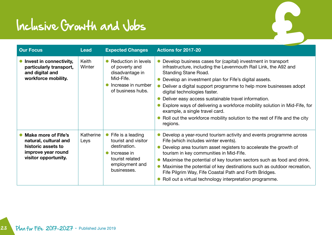## Inclusive Growth and Jobs

| <b>Our Focus</b>                                                                                                        | Lead              | <b>Expected Changes</b>                                                                                                     | Actions for 2017-20                                                                                                                                                                                                                                                                                                                                                                                                                                                                                                                                                                         |
|-------------------------------------------------------------------------------------------------------------------------|-------------------|-----------------------------------------------------------------------------------------------------------------------------|---------------------------------------------------------------------------------------------------------------------------------------------------------------------------------------------------------------------------------------------------------------------------------------------------------------------------------------------------------------------------------------------------------------------------------------------------------------------------------------------------------------------------------------------------------------------------------------------|
| Invest in connectivity,<br>particularly transport,<br>and digital and<br>workforce mobility.                            | Keith<br>Winter   | Reduction in levels<br>of poverty and<br>disadvantage in<br>Mid-Fife.<br>Increase in number<br>of business hubs.            | Develop business cases for (capital) investment in transport<br>infrastructure, including the Levenmouth Rail Link, the A92 and<br><b>Standing Stane Road.</b><br>Develop an investment plan for Fife's digital assets.<br>Deliver a digital support programme to help more businesses adopt<br>digital technologies faster.<br>Deliver easy access sustainable travel information.<br>Explore ways of delivering a workforce mobility solution in Mid-Fife, for<br>example, a single travel card.<br>Roll out the workforce mobility solution to the rest of Fife and the city<br>regions. |
| <b>Make more of Fife's</b><br>natural, cultural and<br>historic assets to<br>improve year round<br>visitor opportunity. | Katherine<br>Leys | Fife is a leading<br>tourist and visitor<br>destination.<br>Increase in<br>tourist related<br>employment and<br>businesses. | Develop a year-round tourism activity and events programme across<br>Fife (which includes winter events).<br>Develop area tourism asset registers to accelerate the growth of<br>tourism in key communities in Mid-Fife.<br>Maximise the potential of key tourism sectors such as food and drink.<br>Maximise the potential of key destinations such as outdoor recreation,<br>Fife Pilgrim Way, Fife Coastal Path and Forth Bridges.<br>Roll out a virtual technology interpretation programme.                                                                                            |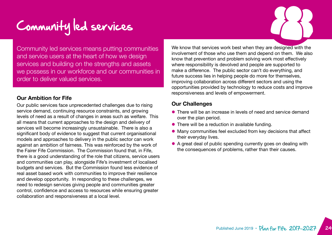# Community led services

Community led services means putting communities and service users at the heart of how we design services and building on the strengths and assets we possess in our workforce and our communities in order to deliver valued services.

#### **Our Ambition for Fife**

Our public services face unprecedented challenges due to rising service demand, continuing resource constraints, and growing levels of need as a result of changes in areas such as welfare. This all means that current approaches to the design and delivery of services will become increasingly unsustainable. There is also a significant body of evidence to suggest that current organisational models and approaches to delivery in the public sector can work against an ambition of fairness. This was reinforced by the work of the Fairer Fife Commission. The Commission found that, in Fife, there is a good understanding of the role that citizens, service users and communities can play, alongside Fife's investment of localised budgets and services. But the Commission found less evidence of real asset based work with communities to improve their resilience and develop opportunity. In responding to these challenges, we need to redesign services giving people and communities greater control, confidence and access to resources while ensuring greater collaboration and responsiveness at a local level.

We know that services work best when they are designed with the involvement of those who use them and depend on them. We also know that prevention and problem solving work most effectively where responsibility is devolved and people are supported to make a difference. The public sector can't do everything, and future success lies in helping people do more for themselves, improving collaboration across different sectors and using the opportunities provided by technology to reduce costs and improve responsiveness and levels of empowerment.

#### **Our Challenges**

- l There will be an increase in levels of need and service demand over the plan period.
- $\bullet$  There will be a reduction in available funding.
- **.** Many communities feel excluded from key decisions that affect their everyday lives.
- A great deal of public spending currently goes on dealing with the consequences of problems, rather than their causes.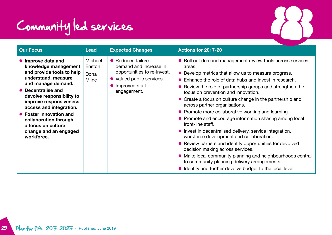

| • Roll out demand management review tools across services<br>• Develop metrics that allow us to measure progress.<br>• Enhance the role of data hubs and invest in research.<br>• Review the role of partnership groups and strengthen the<br>• Create a focus on culture change in the partnership and<br>• Promote and encourage information sharing among local<br>• Invest in decentralised delivery, service integration,<br>• Review barriers and identify opportunities for devolved<br>• Make local community planning and neighbourhoods central<br>• Identify and further devolve budget to the local level. |
|------------------------------------------------------------------------------------------------------------------------------------------------------------------------------------------------------------------------------------------------------------------------------------------------------------------------------------------------------------------------------------------------------------------------------------------------------------------------------------------------------------------------------------------------------------------------------------------------------------------------|
| • Promote more collaborative working and learning.                                                                                                                                                                                                                                                                                                                                                                                                                                                                                                                                                                     |

25 Plan for Fife 2017-2027 • Published June 2019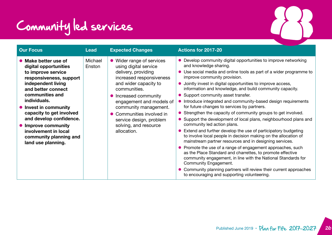# Community led services

| <b>Our Focus</b>                                                                                                                                                                                                                                                                                                                                             | <b>Lead</b>       | <b>Expected Changes</b>                                                                                                                                                                                                                                                                                                      | Actions for 2017-20                                                                                                                                                                                                                                                                                                                                                                                                                                                                                                                                                                                                                                                                                                                                                                                                                                                                                                                                                                                                                                                                                                                                                                     |
|--------------------------------------------------------------------------------------------------------------------------------------------------------------------------------------------------------------------------------------------------------------------------------------------------------------------------------------------------------------|-------------------|------------------------------------------------------------------------------------------------------------------------------------------------------------------------------------------------------------------------------------------------------------------------------------------------------------------------------|-----------------------------------------------------------------------------------------------------------------------------------------------------------------------------------------------------------------------------------------------------------------------------------------------------------------------------------------------------------------------------------------------------------------------------------------------------------------------------------------------------------------------------------------------------------------------------------------------------------------------------------------------------------------------------------------------------------------------------------------------------------------------------------------------------------------------------------------------------------------------------------------------------------------------------------------------------------------------------------------------------------------------------------------------------------------------------------------------------------------------------------------------------------------------------------------|
| • Make better use of<br>digital opportunities<br>to improve service<br>responsiveness, support<br>independent living<br>and better connect<br>communities and<br>individuals.<br>• Invest in community<br>capacity to get involved<br>and develop confidence.<br>• Improve community<br>involvement in local<br>community planning and<br>land use planning. | Michael<br>Enston | • Wider range of services<br>using digital service<br>delivery, providing<br>increased responsiveness<br>and wider capacity to<br>communities.<br>• Increased community<br>engagement and models of<br>community management.<br>• Communities involved in<br>service design, problem<br>solving, and resource<br>allocation. | Develop community digital opportunities to improve networking<br>and knowledge sharing.<br>Use social media and online tools as part of a wider programme to<br>improve community provision.<br>Jointly invest in digital opportunities to improve access,<br>information and knowledge, and build community capacity.<br>Support community asset transfer.<br>Introduce integrated and community-based design requirements<br>for future changes to services by partners.<br>• Strengthen the capacity of community groups to get involved.<br>Support the development of local plans, neighbourhood plans and<br>community led action plans.<br>Extend and further develop the use of participatory budgeting<br>to involve local people in decision making on the allocation of<br>mainstream partner resources and in designing services.<br>• Promote the use of a range of engagement approaches, such<br>as the Place Standard and charrettes, to promote effective<br>community engagement, in line with the National Standards for<br>Community Engagement.<br>Community planning partners will review their current approaches<br>to encouraging and supporting volunteering. |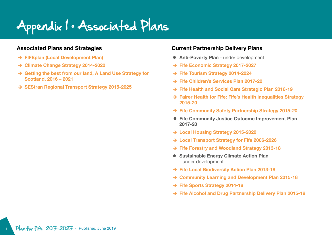Appendix 1 • Associated Plans

#### **Associated Plans and Strategies**

- è **[FIFEplan \(Local Development Plan\)](http://lpconsult.fife.gov.uk/portal/fife_ldp/fifeplan_-_adopted_plan_13/adopted_fifeplan)**
- è **[Climate Change Strategy 2014-2020](http://publications.fifedirect.org.uk/c64_FEP-Climate-ChangeStrategy-2014.pdf)**
- $\rightarrow$  **Getting the best from our land, A Land Use Strategy for [Scotland, 2016 – 2021](http://www.gov.scot/Resource/0049/00497086.pdf)**
- $→$  **[SEStran Regional Transport Strategy 2015-2025](http://www.sestran.gov.uk/wp-content/uploads/2016/11/SEStran_Regional_Transport_Strategy_Refresh_2015_Executive_Summary.pdf )**

#### **Current Partnership Delivery Plans**

- **Anti-Poverty Plan** under development
- è **[Fife Economic Strategy 2017-2027](http://www.fifeeconomypartnership.com/wp-content/uploads/sites/10/2016/10/Fifes-Economic-Strategy-2017-27.pdf)**
- è **[Fife Tourism Strategy 2014-2024](https://www.fifetourismpartnership.org/site/assets/files/2517/tourist_strategy_final_for_screen.pdf)**
- è **[Fife Children's Services Plan 2017-20](http://girfec.fife.scot/partnership-working/childrens-services/)**
- è **[Fife Health and Social Care Strategic Plan 2016-19](http://publications.fifedirect.org.uk/c64_HSCP_Approved_Strategic_Plan_2016_incl_Appendices.pdf)**
- $\rightarrow$  **Fairer Health for Fife: Fife's Health Inequalities Strategy [2015-20](http://wordpress.fifedirect.org.uk/healthyfife/wp-content/uploads/sites/53/2017/03/Fairer_Health_for_Fife_2015-2020.pdf)**
- è **[Fife Community Safety Partnership Strategy 2015-20](http://publications.fifedirect.org.uk/c64_FCSP2015-2020FinalVersion171115v2.pdf)**
- **Fife Community Justice Outcome Improvement Plan 2017-20**
- è **[Local Housing Strategy 2015-2020](http://publications.fifedirect.org.uk/c64_160404MasterLHSandOutcomes1.pdf)**
- è **[Local Transport Strategy for Fife 2006-2026](http://publications.fifedirect.org.uk/c64_LocalTransportStrategy.pdf)**
- è **[Fife Forestry and Woodland Strategy 2013-18](http://publications.fifedirect.org.uk/c64_FifeForestryWoodlandStrategy2013.pdf)**
- **Sustainable Energy Climate Action Plan** - under development
- è **Fife [Local Biodiversity Action Plan](http://publications.fifedirect.org.uk/c64_FBLAP-final.pdf) 2013-18**
- $→$  **Community Learning and Development Plan 2015-18**
- è **[Fife Sports Strategy 2014-18](http://publications.fifedirect.org.uk/c64_SportsStrategyFinalDraft060114.pdf)**
- è **[Fife Alcohol and Drug Partnership Delivery Plan](http://wordpress.fifedirect.org.uk/fadp/wp-content/uploads/sites/3/2017/05/FifeADPDeliveryPlan2015-2018FINALDRAFT.pdf) 2015-18**